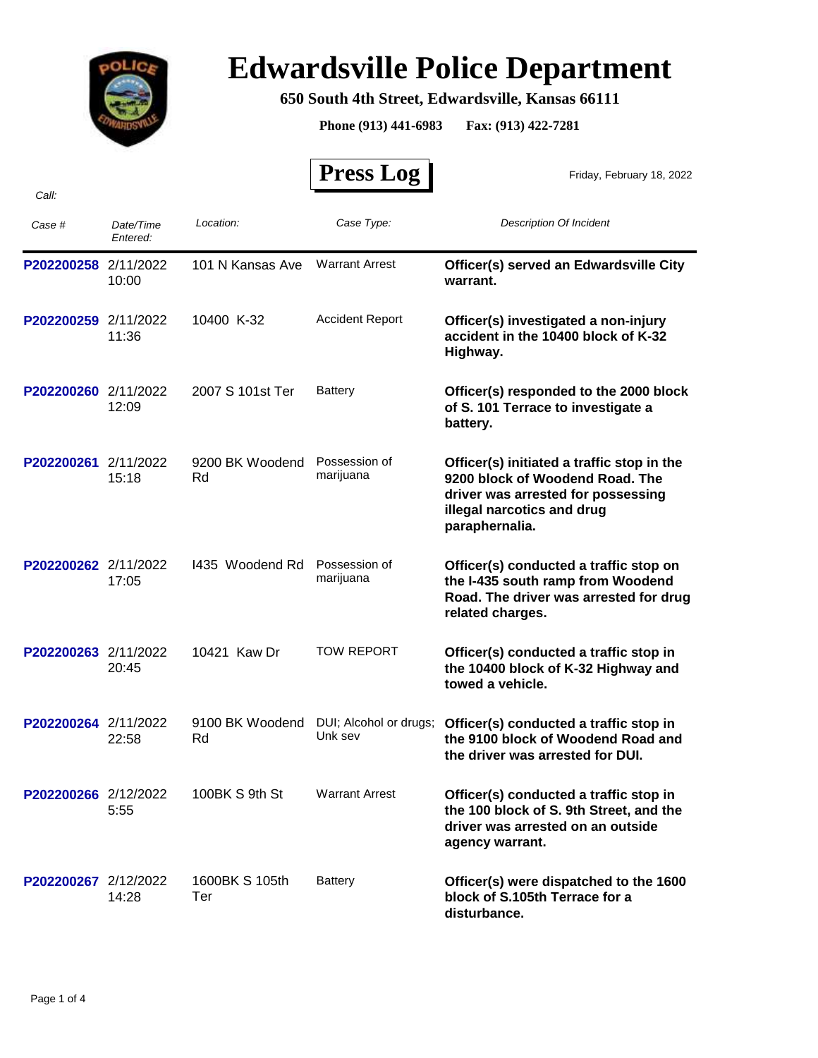

## **Edwardsville Police Department**

## **650 South 4th Street, Edwardsville, Kansas 66111**

**Phone (913) 441-6983 Fax: (913) 422-7281**

 **Press Log**  *Case # Date/Time Entered: Location: Case Type: Description Of Incident*  Friday, February 18, 2022 *Call:* P202200258 2/11/2022 101 N Kansas Ave Warrant Arrest **Officer(s) served an Edwardsville City warrant.** Warrant Arrest 10:00 101 N Kansas Ave **P202200259** 2/11/2022 10400 K-32 Accident Report **Officer(s) investigated a non-injury accident in the 10400 block of K-32 Highway.** Accident Report 11:36 10400 K-32 P202200260 2/11/2022 2007 S 101st Ter Battery **Officer(s) responded to the 2000 block of S. 101 Terrace to investigate a battery. Battery** 12:09 2007 S 101st Ter **P202200261** 2/11/2022 9200 BK Woodend Possession of **Officer(s) initiated a traffic stop in the 9200 block of Woodend Road. The driver was arrested for possessing illegal narcotics and drug paraphernalia.** Possession of 15:18 marijuana 9200 BK Woodend Rd P202200262 2/11/2022 1435 Woodend Rd Possession of **Officer(s) conducted a traffic stop on the I-435 south ramp from Woodend Road. The driver was arrested for drug related charges.** Possession of 17:05 marijuana I435 Woodend Rd **P202200263** 2/11/2022 10421 Kaw Dr TOW REPORT **Officer(s) conducted a traffic stop in the 10400 block of K-32 Highway and towed a vehicle.** TOW REPORT 20:45 10421 Kaw Dr **P202200264** 2/11/2022 9100 BK Woodend DUI; Alcohol or drugs; **Officer(s) conducted a traffic stop in**<br>Dik sev the 9100 block of Woodend Road and **the 9100 block of Woodend Road and the driver was arrested for DUI.** 9100 BK Woodend DUI; Alcohol or drugs;  $22:58$ Rd P202200266 2/12/2022 100BK S 9th St Warrant Arrest **Officer(s) conducted a traffic stop in the 100 block of S. 9th Street, and the driver was arrested on an outside agency warrant.** Warrant Arrest 5:55 100BK S 9th St **P202200267** 2/12/2022 1600BK S 105th Battery **Officer(s) were dispatched to the 1600 block of S.105th Terrace for a disturbance. Battery** 14:28 1600BK S 105th Ter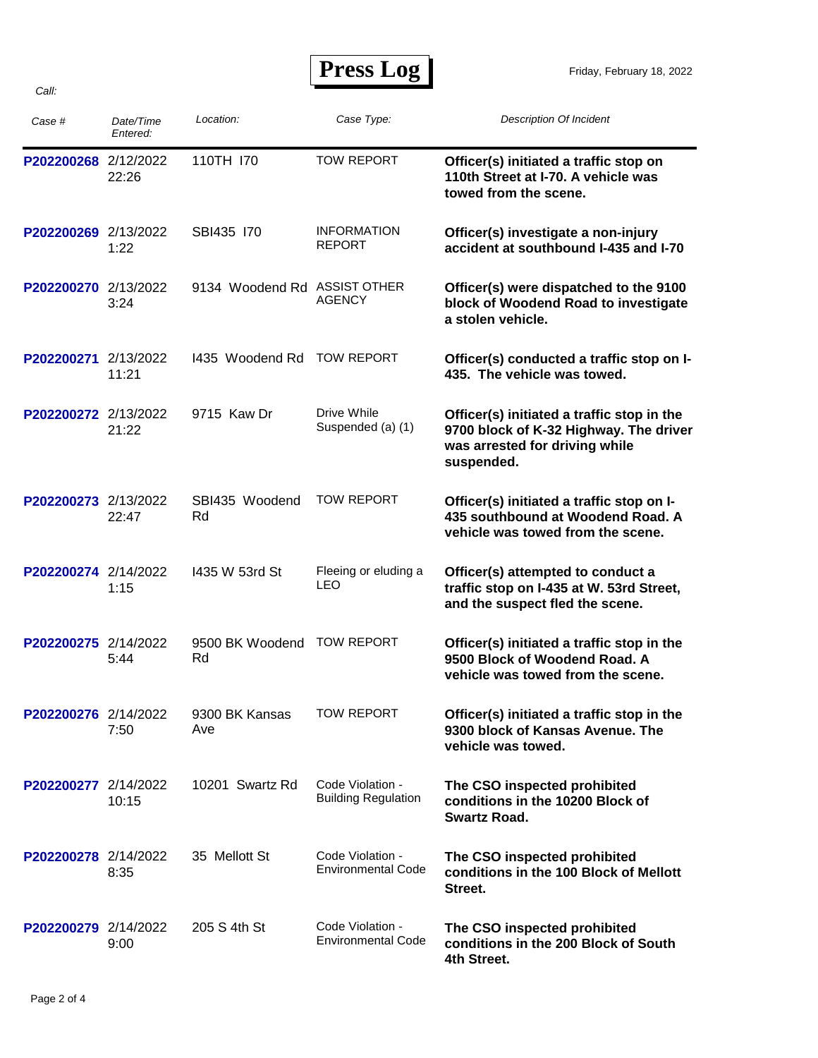**Press Log** 

Friday, February 18, 2022

| Case #               | Date/Time<br>Entered: | Location:                    | Case Type:                                     | <b>Description Of Incident</b>                                                                                                       |
|----------------------|-----------------------|------------------------------|------------------------------------------------|--------------------------------------------------------------------------------------------------------------------------------------|
| P202200268 2/12/2022 | 22:26                 | 110TH 170                    | <b>TOW REPORT</b>                              | Officer(s) initiated a traffic stop on<br>110th Street at I-70. A vehicle was<br>towed from the scene.                               |
| P202200269 2/13/2022 | 1:22                  | SBI435 170                   | <b>INFORMATION</b><br><b>REPORT</b>            | Officer(s) investigate a non-injury<br>accident at southbound I-435 and I-70                                                         |
| P202200270 2/13/2022 | 3:24                  | 9134 Woodend Rd ASSIST OTHER | <b>AGENCY</b>                                  | Officer(s) were dispatched to the 9100<br>block of Woodend Road to investigate<br>a stolen vehicle.                                  |
| P202200271           | 2/13/2022<br>11:21    | 1435 Woodend Rd              | <b>TOW REPORT</b>                              | Officer(s) conducted a traffic stop on I-<br>435. The vehicle was towed.                                                             |
| P202200272 2/13/2022 | 21:22                 | 9715 Kaw Dr                  | Drive While<br>Suspended (a) (1)               | Officer(s) initiated a traffic stop in the<br>9700 block of K-32 Highway. The driver<br>was arrested for driving while<br>suspended. |
| P202200273 2/13/2022 | 22:47                 | SBI435 Woodend<br>Rd         | <b>TOW REPORT</b>                              | Officer(s) initiated a traffic stop on I-<br>435 southbound at Woodend Road. A<br>vehicle was towed from the scene.                  |
| P202200274 2/14/2022 | 1:15                  | 1435 W 53rd St               | Fleeing or eluding a<br>LEO                    | Officer(s) attempted to conduct a<br>traffic stop on I-435 at W. 53rd Street,<br>and the suspect fled the scene.                     |
| P202200275 2/14/2022 | 5:44                  | 9500 BK Woodend<br>Rd        | <b>TOW REPORT</b>                              | Officer(s) initiated a traffic stop in the<br>9500 Block of Woodend Road. A<br>vehicle was towed from the scene.                     |
| P202200276 2/14/2022 | 7:50                  | 9300 BK Kansas<br>Ave        | TOW REPORT                                     | Officer(s) initiated a traffic stop in the<br>9300 block of Kansas Avenue. The<br>vehicle was towed.                                 |
| P202200277 2/14/2022 | 10:15                 | 10201 Swartz Rd              | Code Violation -<br><b>Building Regulation</b> | The CSO inspected prohibited<br>conditions in the 10200 Block of<br><b>Swartz Road.</b>                                              |
| P202200278 2/14/2022 | 8:35                  | 35 Mellott St                | Code Violation -<br><b>Environmental Code</b>  | The CSO inspected prohibited<br>conditions in the 100 Block of Mellott<br>Street.                                                    |
| P202200279 2/14/2022 | 9:00                  | 205 S 4th St                 | Code Violation -<br><b>Environmental Code</b>  | The CSO inspected prohibited<br>conditions in the 200 Block of South<br>4th Street.                                                  |

*Call:*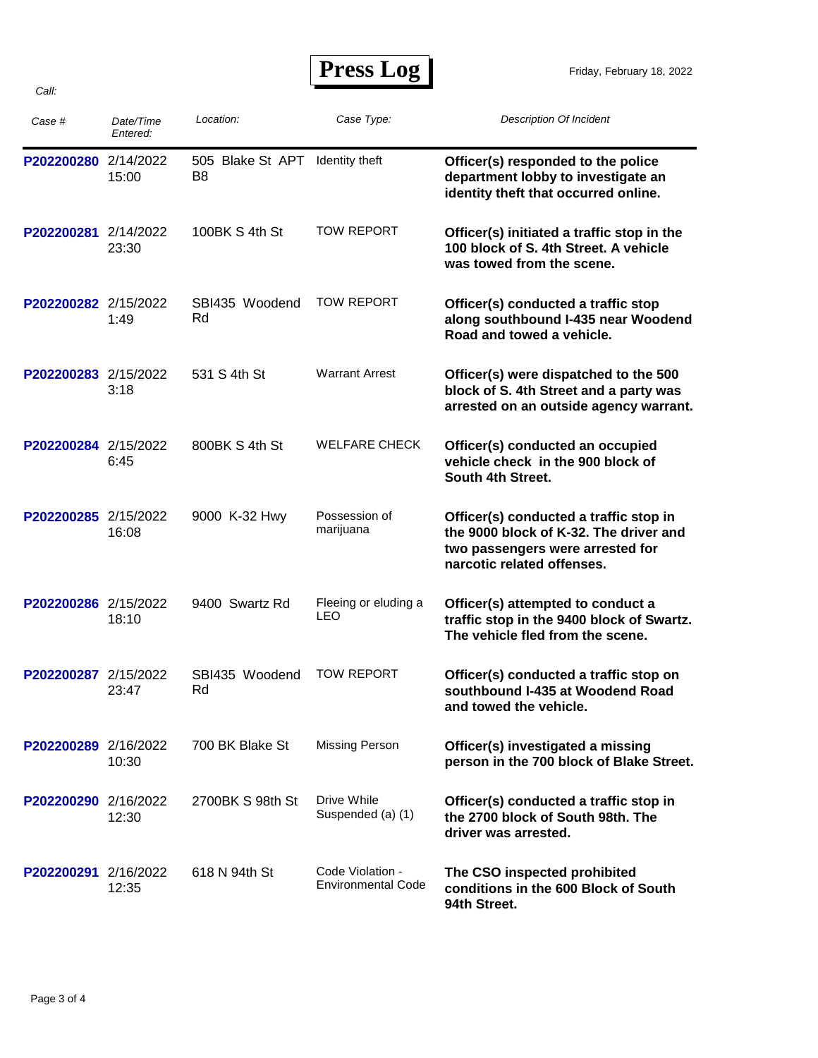| Case #               | Date/Time<br>Entered: | Location:                          | Case Type:                                    | <b>Description Of Incident</b>                                                                                                                     |
|----------------------|-----------------------|------------------------------------|-----------------------------------------------|----------------------------------------------------------------------------------------------------------------------------------------------------|
| P202200280 2/14/2022 | 15:00                 | 505 Blake St APT<br>B <sub>8</sub> | Identity theft                                | Officer(s) responded to the police<br>department lobby to investigate an<br>identity theft that occurred online.                                   |
| P202200281 2/14/2022 | 23:30                 | 100BK S 4th St                     | <b>TOW REPORT</b>                             | Officer(s) initiated a traffic stop in the<br>100 block of S. 4th Street. A vehicle<br>was towed from the scene.                                   |
| P202200282 2/15/2022 | 1:49                  | SBI435 Woodend<br>Rd               | <b>TOW REPORT</b>                             | Officer(s) conducted a traffic stop<br>along southbound I-435 near Woodend<br>Road and towed a vehicle.                                            |
| P202200283 2/15/2022 | 3:18                  | 531 S 4th St                       | <b>Warrant Arrest</b>                         | Officer(s) were dispatched to the 500<br>block of S. 4th Street and a party was<br>arrested on an outside agency warrant.                          |
| P202200284 2/15/2022 | 6:45                  | 800BK S 4th St                     | <b>WELFARE CHECK</b>                          | Officer(s) conducted an occupied<br>vehicle check in the 900 block of<br>South 4th Street.                                                         |
| P202200285 2/15/2022 | 16:08                 | 9000 K-32 Hwy                      | Possession of<br>marijuana                    | Officer(s) conducted a traffic stop in<br>the 9000 block of K-32. The driver and<br>two passengers were arrested for<br>narcotic related offenses. |
| P202200286 2/15/2022 | 18:10                 | 9400 Swartz Rd                     | Fleeing or eluding a<br>LEO                   | Officer(s) attempted to conduct a<br>traffic stop in the 9400 block of Swartz.<br>The vehicle fled from the scene.                                 |
| P202200287 2/15/2022 | 23:47                 | SBI435 Woodend<br>Rd               | <b>TOW REPORT</b>                             | Officer(s) conducted a traffic stop on<br>southbound I-435 at Woodend Road<br>and towed the vehicle.                                               |
| P202200289 2/16/2022 | 10:30                 | 700 BK Blake St                    | Missing Person                                | Officer(s) investigated a missing<br>person in the 700 block of Blake Street.                                                                      |
| P202200290 2/16/2022 | 12:30                 | 2700BK S 98th St                   | Drive While<br>Suspended (a) (1)              | Officer(s) conducted a traffic stop in<br>the 2700 block of South 98th. The<br>driver was arrested.                                                |
| P202200291 2/16/2022 | 12:35                 | 618 N 94th St                      | Code Violation -<br><b>Environmental Code</b> | The CSO inspected prohibited<br>conditions in the 600 Block of South<br>94th Street.                                                               |

*Call:*